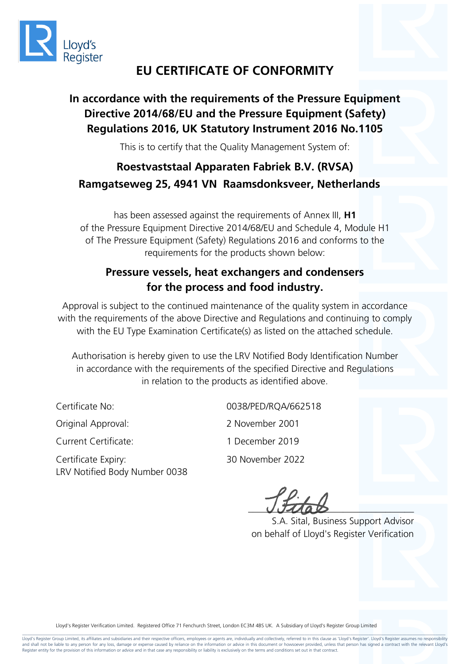

# **EU CERTIFICATE OF CONFORMITY**

## **In accordance with the requirements of the Pressure Equipment Directive 2014/68/EU and the Pressure Equipment (Safety) Regulations 2016, UK Statutory Instrument 2016 No.1105**

This is to certify that the Quality Management System of:

# **Roestvaststaal Apparaten Fabriek B.V. (RVSA) Ramgatseweg 25, 4941 VN Raamsdonksveer, Netherlands**

has been assessed against the requirements of Annex III, **H1** of the Pressure Equipment Directive 2014/68/EU and Schedule 4, Module H1 of The Pressure Equipment (Safety) Regulations 2016 and conforms to the requirements for the products shown below:

#### **Pressure vessels, heat exchangers and condensers for the process and food industry.**

Approval is subject to the continued maintenance of the quality system in accordance with the requirements of the above Directive and Regulations and continuing to comply with the EU Type Examination Certificate(s) as listed on the attached schedule.

Authorisation is hereby given to use the LRV Notified Body Identification Number in accordance with the requirements of the specified Directive and Regulations in relation to the products as identified above.

Original Approval: 2 November 2001

Current Certificate: 1 December 2019

Certificate Expiry: 30 November 2022 LRV Notified Body Number 0038

Certificate No: 0038/PED/RQA/662518

 $UJUaD$ 

 S.A. Sital, Business Support Advisor on behalf of Lloyd's Register Verification

Lloyd's Register Verification Limited. Registered Office 71 Fenchurch Street, London EC3M 4BS UK. A Subsidiary of Lloyd's Register Group Limited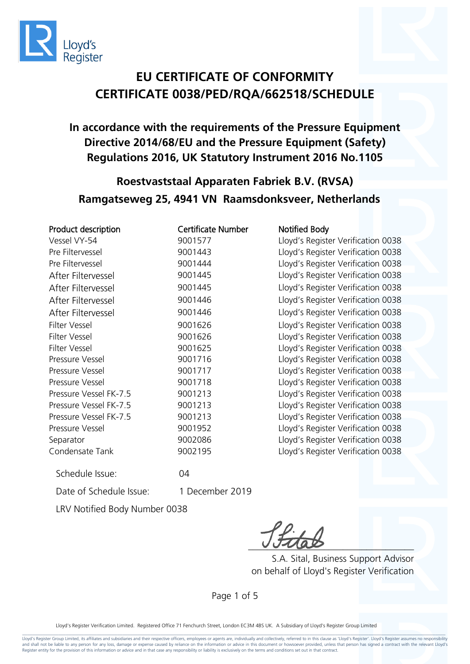

**In accordance with the requirements of the Pressure Equipment Directive 2014/68/EU and the Pressure Equipment (Safety) Regulations 2016, UK Statutory Instrument 2016 No.1105**

## **Roestvaststaal Apparaten Fabriek B.V. (RVSA) Ramgatseweg 25, 4941 VN Raamsdonksveer, Netherlands**

| Certificate Number<br>Product description |         | N                 |
|-------------------------------------------|---------|-------------------|
| Vessel VY-54                              | 9001577 | П                 |
| Pre Filtervessel                          | 9001443 | $\mathsf{L}$      |
| Pre Filtervessel                          | 9001444 | $\lfloor$         |
| After Filtervessel                        | 9001445 | $\lfloor$         |
| After Filtervessel                        | 9001445 | $\lfloor$         |
| After Filtervessel                        | 9001446 | $\Box$            |
| After Filtervessel                        | 9001446 | $\lfloor$         |
| Filter Vessel                             | 9001626 | $\lfloor$         |
| Filter Vessel                             | 9001626 | $\mathsf{L}$      |
| Filter Vessel                             | 9001625 | $\lfloor \rfloor$ |
| Pressure Vessel                           | 9001716 | П                 |
| Pressure Vessel                           | 9001717 | П                 |
| Pressure Vessel                           | 9001718 | $\lfloor$         |
| Pressure Vessel FK-7.5                    | 9001213 | $\lfloor$         |
| Pressure Vessel FK-7.5                    | 9001213 | $\lfloor$         |
| Pressure Vessel FK-7.5                    | 9001213 | П                 |
| Pressure Vessel                           | 9001952 | Ll                |
| Separator                                 | 9002086 | П                 |
| Condensate Tank                           | 9002195 | Ll                |
|                                           |         |                   |

otified Body oyd's Register Verification 0038 oyd's Register Verification 0038 oyd's Register Verification 0038 oyd's Register Verification 0038 oyd's Register Verification 0038 oyd's Register Verification 0038 oyd's Register Verification 0038 oyd's Register Verification 0038 oyd's Register Verification 0038 oyd's Register Verification 0038 oyd's Register Verification 0038 oyd's Register Verification 0038 oyd's Register Verification 0038 oyd's Register Verification 0038 oyd's Register Verification 0038 oyd's Register Verification 0038 oyd's Register Verification 0038 oyd's Register Verification 0038 oyd's Register Verification 0038

Date of Schedule Issue: 1 December 2019

LRV Notified Body Number 0038

Schedule Issue: 04

 $rac{0.4488}{0.4488}$ 

 S.A. Sital, Business Support Advisor on behalf of Lloyd's Register Verification

Page 1 of 5

Lloyd's Register Verification Limited. Registered Office 71 Fenchurch Street, London EC3M 4BS UK. A Subsidiary of Lloyd's Register Group Limited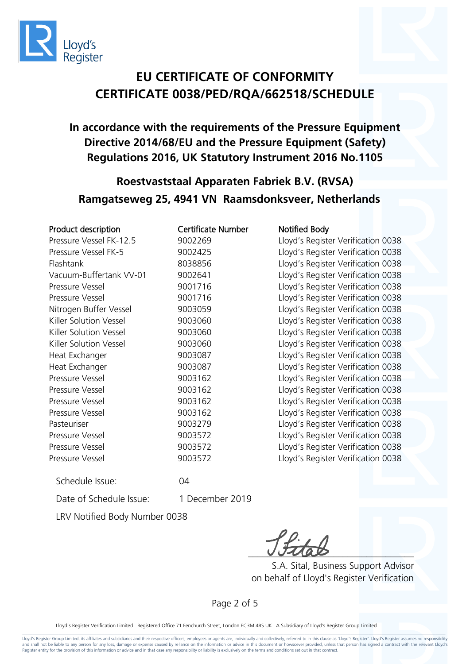

#### **In accordance with the requirements of the Pressure Equipment Directive 2014/68/EU and the Pressure Equipment (Safety) Regulations 2016, UK Statutory Instrument 2016 No.1105**

## **Roestvaststaal Apparaten Fabriek B.V. (RVSA) Ramgatseweg 25, 4941 VN Raamsdonksveer, Netherlands**

| Product description     | <b>Certificate Number</b> | <b>Notified Body</b> |
|-------------------------|---------------------------|----------------------|
| Pressure Vessel FK-12.5 | 9002269                   | Lloyd's Registe      |
| Pressure Vessel FK-5    | 9002425                   | Lloyd's Registe      |
| Flashtank               | 8038856                   | Lloyd's Registe      |
| Vacuum-Buffertank VV-01 | 9002641                   | Lloyd's Registe      |
| Pressure Vessel         | 9001716                   | Lloyd's Registe      |
| Pressure Vessel         | 9001716                   | Lloyd's Registe      |
| Nitrogen Buffer Vessel  | 9003059                   | Lloyd's Registe      |
| Killer Solution Vessel  | 9003060                   | Lloyd's Registe      |
| Killer Solution Vessel  | 9003060                   | Lloyd's Registe      |
| Killer Solution Vessel  | 9003060                   | Lloyd's Registe      |
| Heat Exchanger          | 9003087                   | Lloyd's Registe      |
| Heat Exchanger          | 9003087                   | Lloyd's Registe      |
| Pressure Vessel         | 9003162                   | Lloyd's Registe      |
| Pressure Vessel         | 9003162                   | Lloyd's Registe      |
| Pressure Vessel         | 9003162                   | Lloyd's Registe      |
| Pressure Vessel         | 9003162                   | Lloyd's Registe      |
| Pasteuriser             | 9003279                   | Lloyd's Registe      |
| Pressure Vessel         | 9003572                   | Lloyd's Registe      |
| Pressure Vessel         | 9003572                   | Lloyd's Registe      |
| Pressure Vessel         | 9003572                   | Lloyd's Registe      |

Schedule Issue: 04

Date of Schedule Issue: 1 December 2019

LRV Notified Body Number 0038

 $UULQD$ 

 S.A. Sital, Business Support Advisor on behalf of Lloyd's Register Verification

Lloyd's Register Verification 0038 Lloyd's Register Verification 0038 Lloyd's Register Verification 0038 Lloyd's Register Verification 0038 Lloyd's Register Verification 0038 Lloyd's Register Verification 0038 Lloyd's Register Verification 0038 Lloyd's Register Verification 0038 Lloyd's Register Verification 0038 Lloyd's Register Verification 0038 Lloyd's Register Verification 0038 Lloyd's Register Verification 0038 Lloyd's Register Verification 0038 Lloyd's Register Verification 0038 Lloyd's Register Verification 0038 Lloyd's Register Verification 0038 Lloyd's Register Verification 0038 Lloyd's Register Verification 0038 Lloyd's Register Verification 0038 Lloyd's Register Verification 0038

Page 2 of 5

Lloyd's Register Verification Limited. Registered Office 71 Fenchurch Street, London EC3M 4BS UK. A Subsidiary of Lloyd's Register Group Limited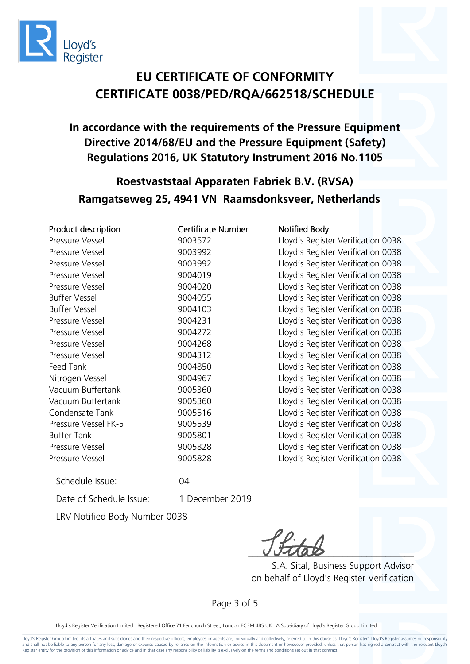

#### **In accordance with the requirements of the Pressure Equipment Directive 2014/68/EU and the Pressure Equipment (Safety) Regulations 2016, UK Statutory Instrument 2016 No.1105**

## **Roestvaststaal Apparaten Fabriek B.V. (RVSA) Ramgatseweg 25, 4941 VN Raamsdonksveer, Netherlands**

| Product description  | <b>Certificate Number</b> | <b>Notified Body</b>               |
|----------------------|---------------------------|------------------------------------|
| Pressure Vessel      | 9003572                   | Lloyd's Register Verification 0038 |
| Pressure Vessel      | 9003992                   | Lloyd's Register Verification 0038 |
| Pressure Vessel      | 9003992                   | Lloyd's Register Verification 0038 |
| Pressure Vessel      | 9004019                   | Lloyd's Register Verification 0038 |
| Pressure Vessel      | 9004020                   | Lloyd's Register Verification 0038 |
| <b>Buffer Vessel</b> | 9004055                   | Lloyd's Register Verification 0038 |
| <b>Buffer Vessel</b> | 9004103                   | Lloyd's Register Verification 0038 |
| Pressure Vessel      | 9004231                   | Lloyd's Register Verification 0038 |
| Pressure Vessel      | 9004272                   | Lloyd's Register Verification 0038 |
| Pressure Vessel      | 9004268                   | Lloyd's Register Verification 0038 |
| Pressure Vessel      | 9004312                   | Lloyd's Register Verification 0038 |
| Feed Tank            | 9004850                   | Lloyd's Register Verification 0038 |
| Nitrogen Vessel      | 9004967                   | Lloyd's Register Verification 0038 |
| Vacuum Buffertank    | 9005360                   | Lloyd's Register Verification 0038 |
| Vacuum Buffertank    | 9005360                   | Lloyd's Register Verification 0038 |
| Condensate Tank      | 9005516                   | Lloyd's Register Verification 0038 |
| Pressure Vessel FK-5 | 9005539                   | Lloyd's Register Verification 0038 |
| <b>Buffer Tank</b>   | 9005801                   | Lloyd's Register Verification 0038 |
| Pressure Vessel      | 9005828                   | Lloyd's Register Verification 0038 |
| Pressure Vessel      | 9005828                   | Lloyd's Register Verification 0038 |
|                      |                           |                                    |

Schedule Issue: 04

Date of Schedule Issue: 1 December 2019

LRV Notified Body Number 0038

 $UUMab$ 

 S.A. Sital, Business Support Advisor on behalf of Lloyd's Register Verification

Page 3 of 5

Lloyd's Register Verification Limited. Registered Office 71 Fenchurch Street, London EC3M 4BS UK. A Subsidiary of Lloyd's Register Group Limited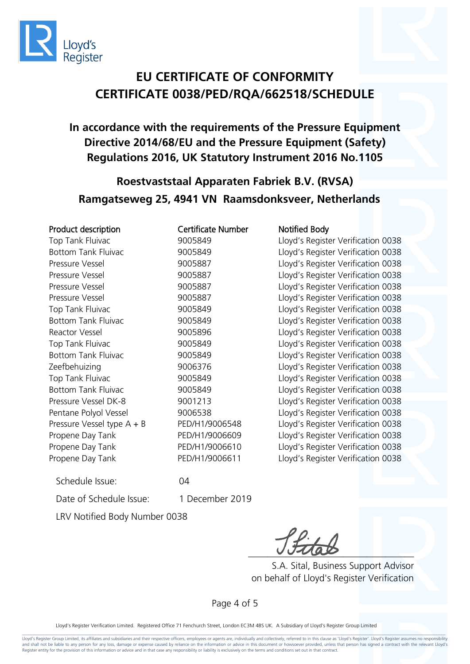

**In accordance with the requirements of the Pressure Equipment Directive 2014/68/EU and the Pressure Equipment (Safety) Regulations 2016, UK Statutory Instrument 2016 No.1105**

#### **Roestvaststaal Apparaten Fabriek B.V. (RVSA) Ramgatseweg 25, 4941 VN Raamsdonksveer, Netherlands**

#### Product description **Certificate Number** Notified Body

Propene Day Tank PED/H1/9006611 Lloyd's Register Verification 0038

Top Tank Fluivac 9005849 Lloyd's Register Verification 0038 Bottom Tank Fluivac 9005849 Lloyd's Register Verification 0038 Pressure Vessel 9005887 Lloyd's Register Verification 0038 Pressure Vessel 2005887 Pressure Vessel Pressure Vessel 9005887 Lloyd's Register Verification 0038 Pressure Vessel 9005887 Lloyd's Register Verification 0038 Top Tank Fluivac 9005849 Lloyd's Register Verification 0038 Bottom Tank Fluivac 9005849 Lloyd's Register Verification 0038 Reactor Vessel 9005896 Lloyd's Register Verification 0038 Top Tank Fluivac 9005849 Lloyd's Register Verification 0038 Bottom Tank Fluivac **9005849** Lloyd's Register Verification 0038 Zeefbehuizing 9006376 Lloyd's Register Verification 0038 Top Tank Fluivac 9005849 Lloyd's Register Verification 0038 Bottom Tank Fluivac 9005849 Lloyd's Register Verification 0038 Pressure Vessel DK-8 9001213 Lloyd's Register Verification 0038 Pentane Polyol Vessel 9006538 Lloyd's Register Verification 0038 Pressure Vessel type A + B PED/H1/9006548 Lloyd's Register Verification 0038 Propene Day Tank PED/H1/9006609 Lloyd's Register Verification 0038 Propene Day Tank PED/H1/9006610 Lloyd's Register Verification 0038

Schedule Issue: 04

Date of Schedule Issue: 1 December 2019

LRV Notified Body Number 0038

 $-$ 

 S.A. Sital, Business Support Advisor on behalf of Lloyd's Register Verification

Page 4 of 5

Lloyd's Register Verification Limited. Registered Office 71 Fenchurch Street, London EC3M 4BS UK. A Subsidiary of Lloyd's Register Group Limited